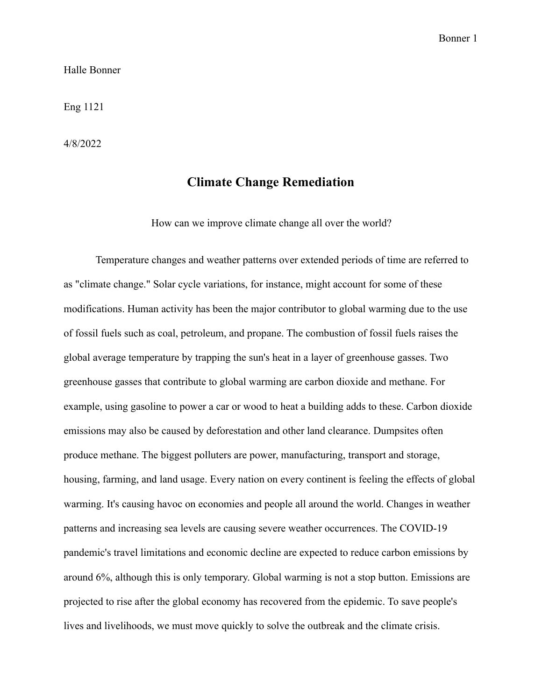#### Halle Bonner

Eng 1121

4/8/2022

### **Climate Change Remediation**

How can we improve climate change all over the world?

Temperature changes and weather patterns over extended periods of time are referred to as "climate change." Solar cycle variations, for instance, might account for some of these modifications. Human activity has been the major contributor to global warming due to the use of fossil fuels such as coal, petroleum, and propane. The combustion of fossil fuels raises the global average temperature by trapping the sun's heat in a layer of greenhouse gasses. Two greenhouse gasses that contribute to global warming are carbon dioxide and methane. For example, using gasoline to power a car or wood to heat a building adds to these. Carbon dioxide emissions may also be caused by deforestation and other land clearance. Dumpsites often produce methane. The biggest polluters are power, manufacturing, transport and storage, housing, farming, and land usage. Every nation on every continent is feeling the effects of global warming. It's causing havoc on economies and people all around the world. Changes in weather patterns and increasing sea levels are causing severe weather occurrences. The COVID-19 pandemic's travel limitations and economic decline are expected to reduce carbon emissions by around 6%, although this is only temporary. Global warming is not a stop button. Emissions are projected to rise after the global economy has recovered from the epidemic. To save people's lives and livelihoods, we must move quickly to solve the outbreak and the climate crisis.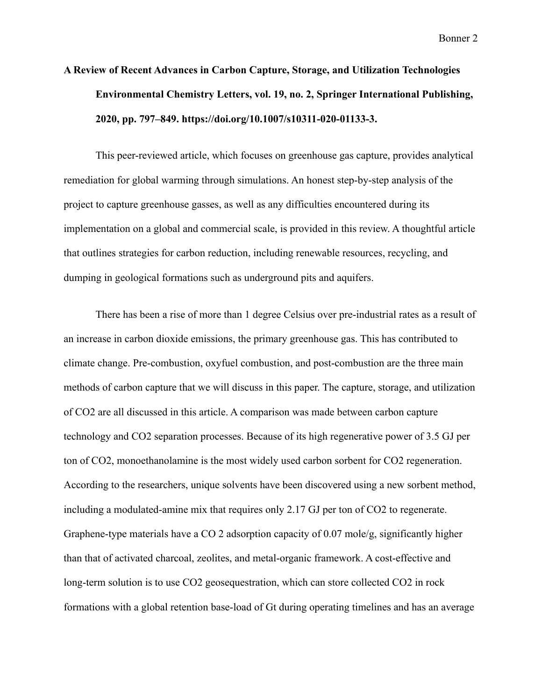# **A Review of Recent Advances in Carbon Capture, Storage, and Utilization Technologies Environmental Chemistry Letters, vol. 19, no. 2, Springer International Publishing, 2020, pp. 797–849. https://doi.org/10.1007/s10311-020-01133-3.**

This peer-reviewed article, which focuses on greenhouse gas capture, provides analytical remediation for global warming through simulations. An honest step-by-step analysis of the project to capture greenhouse gasses, as well as any difficulties encountered during its implementation on a global and commercial scale, is provided in this review. A thoughtful article that outlines strategies for carbon reduction, including renewable resources, recycling, and dumping in geological formations such as underground pits and aquifers.

There has been a rise of more than 1 degree Celsius over pre-industrial rates as a result of an increase in carbon dioxide emissions, the primary greenhouse gas. This has contributed to climate change. Pre-combustion, oxyfuel combustion, and post-combustion are the three main methods of carbon capture that we will discuss in this paper. The capture, storage, and utilization of CO2 are all discussed in this article. A comparison was made between carbon capture technology and CO2 separation processes. Because of its high regenerative power of 3.5 GJ per ton of CO2, monoethanolamine is the most widely used carbon sorbent for CO2 regeneration. According to the researchers, unique solvents have been discovered using a new sorbent method, including a modulated-amine mix that requires only 2.17 GJ per ton of CO2 to regenerate. Graphene-type materials have a CO 2 adsorption capacity of 0.07 mole/g, significantly higher than that of activated charcoal, zeolites, and metal-organic framework. A cost-effective and long-term solution is to use CO2 geosequestration, which can store collected CO2 in rock formations with a global retention base-load of Gt during operating timelines and has an average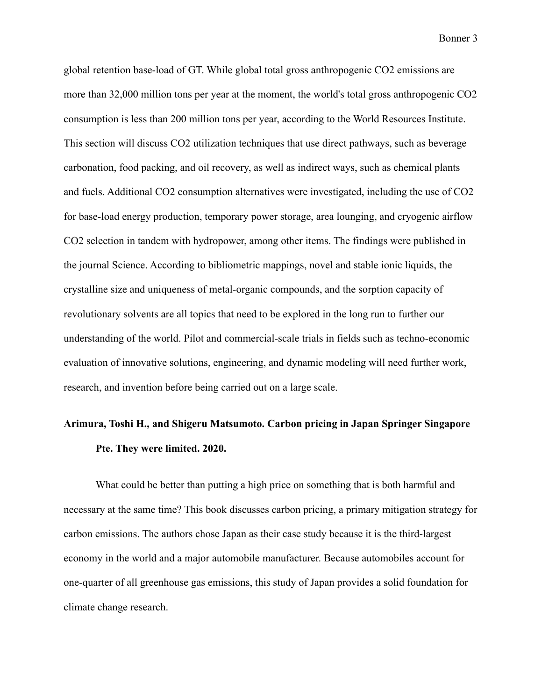global retention base-load of GT. While global total gross anthropogenic CO2 emissions are more than 32,000 million tons per year at the moment, the world's total gross anthropogenic CO2 consumption is less than 200 million tons per year, according to the World Resources Institute. This section will discuss CO2 utilization techniques that use direct pathways, such as beverage carbonation, food packing, and oil recovery, as well as indirect ways, such as chemical plants and fuels. Additional CO2 consumption alternatives were investigated, including the use of CO2 for base-load energy production, temporary power storage, area lounging, and cryogenic airflow CO2 selection in tandem with hydropower, among other items. The findings were published in the journal Science. According to bibliometric mappings, novel and stable ionic liquids, the crystalline size and uniqueness of metal-organic compounds, and the sorption capacity of revolutionary solvents are all topics that need to be explored in the long run to further our understanding of the world. Pilot and commercial-scale trials in fields such as techno-economic evaluation of innovative solutions, engineering, and dynamic modeling will need further work, research, and invention before being carried out on a large scale.

### **Arimura, Toshi H., and Shigeru Matsumoto. Carbon pricing in Japan Springer Singapore Pte. They were limited. 2020.**

What could be better than putting a high price on something that is both harmful and necessary at the same time? This book discusses carbon pricing, a primary mitigation strategy for carbon emissions. The authors chose Japan as their case study because it is the third-largest economy in the world and a major automobile manufacturer. Because automobiles account for one-quarter of all greenhouse gas emissions, this study of Japan provides a solid foundation for climate change research.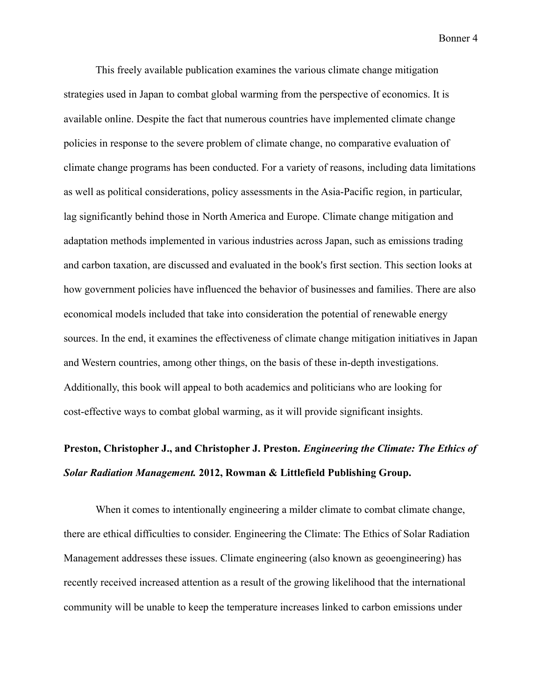This freely available publication examines the various climate change mitigation strategies used in Japan to combat global warming from the perspective of economics. It is available online. Despite the fact that numerous countries have implemented climate change policies in response to the severe problem of climate change, no comparative evaluation of climate change programs has been conducted. For a variety of reasons, including data limitations as well as political considerations, policy assessments in the Asia-Pacific region, in particular, lag significantly behind those in North America and Europe. Climate change mitigation and adaptation methods implemented in various industries across Japan, such as emissions trading and carbon taxation, are discussed and evaluated in the book's first section. This section looks at how government policies have influenced the behavior of businesses and families. There are also economical models included that take into consideration the potential of renewable energy sources. In the end, it examines the effectiveness of climate change mitigation initiatives in Japan and Western countries, among other things, on the basis of these in-depth investigations. Additionally, this book will appeal to both academics and politicians who are looking for cost-effective ways to combat global warming, as it will provide significant insights.

## **Preston, Christopher J., and Christopher J. Preston.** *Engineering the Climate: The Ethics of Solar Radiation Management.* **2012, Rowman & Littlefield Publishing Group.**

When it comes to intentionally engineering a milder climate to combat climate change, there are ethical difficulties to consider. Engineering the Climate: The Ethics of Solar Radiation Management addresses these issues. Climate engineering (also known as geoengineering) has recently received increased attention as a result of the growing likelihood that the international community will be unable to keep the temperature increases linked to carbon emissions under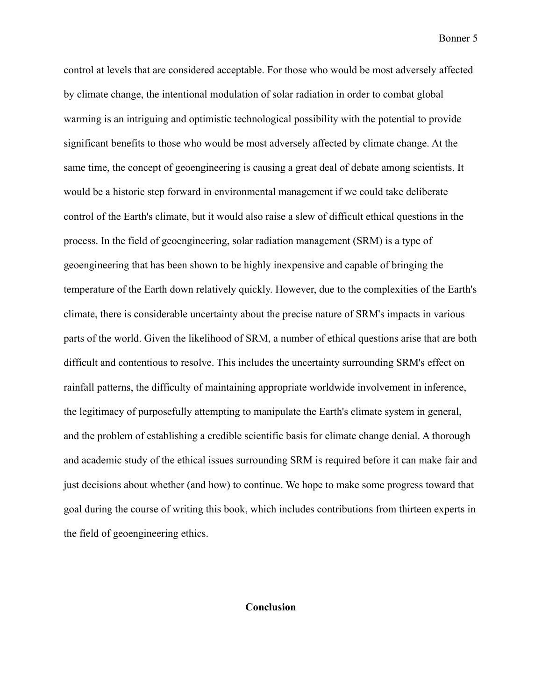control at levels that are considered acceptable. For those who would be most adversely affected by climate change, the intentional modulation of solar radiation in order to combat global warming is an intriguing and optimistic technological possibility with the potential to provide significant benefits to those who would be most adversely affected by climate change. At the same time, the concept of geoengineering is causing a great deal of debate among scientists. It would be a historic step forward in environmental management if we could take deliberate control of the Earth's climate, but it would also raise a slew of difficult ethical questions in the process. In the field of geoengineering, solar radiation management (SRM) is a type of geoengineering that has been shown to be highly inexpensive and capable of bringing the temperature of the Earth down relatively quickly. However, due to the complexities of the Earth's climate, there is considerable uncertainty about the precise nature of SRM's impacts in various parts of the world. Given the likelihood of SRM, a number of ethical questions arise that are both difficult and contentious to resolve. This includes the uncertainty surrounding SRM's effect on rainfall patterns, the difficulty of maintaining appropriate worldwide involvement in inference, the legitimacy of purposefully attempting to manipulate the Earth's climate system in general, and the problem of establishing a credible scientific basis for climate change denial. A thorough and academic study of the ethical issues surrounding SRM is required before it can make fair and just decisions about whether (and how) to continue. We hope to make some progress toward that goal during the course of writing this book, which includes contributions from thirteen experts in the field of geoengineering ethics.

### **Conclusion**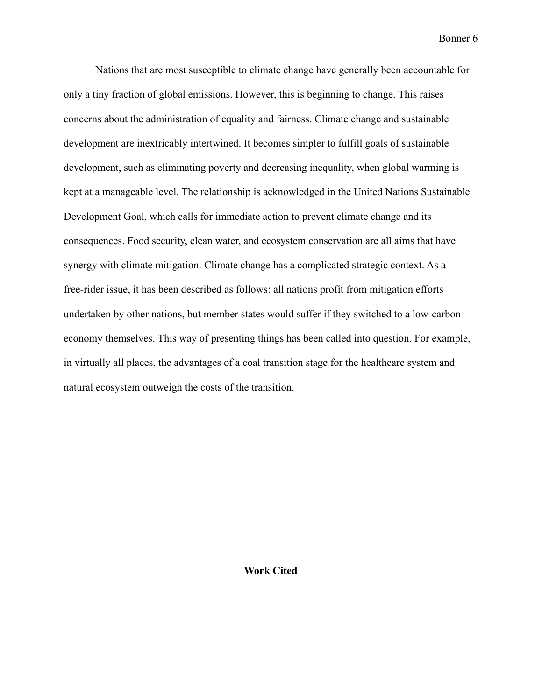Nations that are most susceptible to climate change have generally been accountable for only a tiny fraction of global emissions. However, this is beginning to change. This raises concerns about the administration of equality and fairness. Climate change and sustainable development are inextricably intertwined. It becomes simpler to fulfill goals of sustainable development, such as eliminating poverty and decreasing inequality, when global warming is kept at a manageable level. The relationship is acknowledged in the United Nations Sustainable Development Goal, which calls for immediate action to prevent climate change and its consequences. Food security, clean water, and ecosystem conservation are all aims that have synergy with climate mitigation. Climate change has a complicated strategic context. As a free-rider issue, it has been described as follows: all nations profit from mitigation efforts undertaken by other nations, but member states would suffer if they switched to a low-carbon economy themselves. This way of presenting things has been called into question. For example, in virtually all places, the advantages of a coal transition stage for the healthcare system and natural ecosystem outweigh the costs of the transition.

### **Work Cited**